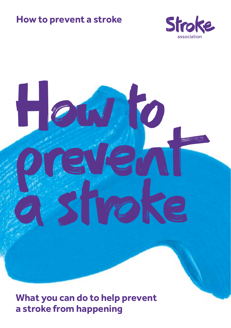# **How to prevent a stroke**





**What you can do to help prevent a stroke from happening**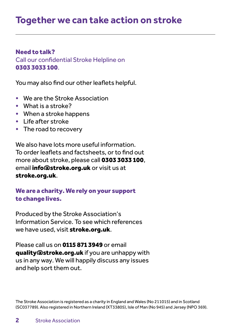# **Together we can take action on stroke**

## Need to talk?

Call our confidential Stroke Helpline on 0303 3033 100.

You may also find our other leaflets helpful.

- We are the Stroke Association
- What is a stroke?
- When a stroke happens
- Life after stroke
- The road to recovery

We also have lots more useful information. To order leaflets and factsheets, or to find out more about stroke, please call 0303 3033 100, email *info@stroke.org.uk* or visit us at stroke.org.uk.

# We are a charity. We rely on your support to change lives.

Produced by the Stroke Association's Information Service. To see which references we have used, visit stroke.org.uk.

Please call us on 0115 871 3949 or email quality@stroke.org.uk if you are unhappy with us in any way. We will happily discuss any issues and help sort them out.

The Stroke Association is registered as a charity in England and Wales (No 211015) and in Scotland (SC037789). Also registered in Northern Ireland (XT33805), Isle of Man (No 945) and Jersey (NPO 369).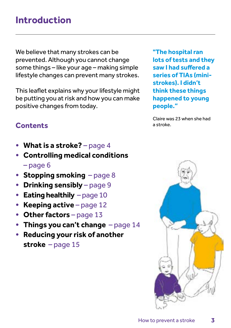# **Introduction**

We believe that many strokes can be prevented. Although you cannot change some things – like your age – making simple lifestyle changes can prevent many strokes.

This leaflet explains why your lifestyle might be putting you at risk and how you can make positive changes from today.

**Contents**

- **What is a stroke?**  page 4
- **Controlling medical conditions**  – page 6
- **Stopping smoking**  page 8
- **Drinking sensibly**  page 9
- **Eating healthily**  page 10
- **Keeping active** page 12
- Other factors page 13
- **Things you can't change**  page 14
- **Reducing your risk of another stroke** – page 15

**"The hospital ran lots of tests and they saw I had suffered a series of TIAs (ministrokes). I didn't think these things happened to young people."**

Claire was 23 when she had a stroke.

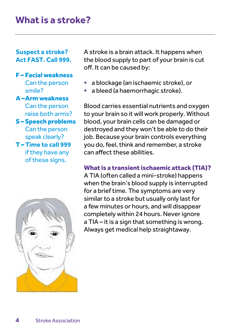# **What is a stroke?**

## **Suspect a stroke? Act FAST. Call 999.**

### F – Facial weakness Can the person smile?

### A –Arm weakness

Can the person raise both arms? S – Speech problems

# Can the person speak clearly?

T – **Time to call 999** if they have any of these signs.



A stroke is a brain attack. It happens when the blood supply to part of your brain is cut off. It can be caused by:

- a blockage (an ischaemic stroke), or
- a bleed (a haemorrhagic stroke).

Blood carries essential nutrients and oxygen to your brain so it will work properly. Without blood, your brain cells can be damaged or destroyed and they won't be able to do their job. Because your brain controls everything you do, feel, think and remember, a stroke can affect these abilities.

# What is a transient ischaemic attack (TIA)?

A TIA (often called a mini-stroke) happens when the brain's blood supply is interrupted for a brief time. The symptoms are very similar to a stroke but usually only last for a few minutes or hours, and will disappear completely within 24 hours. Never ignore a TIA – it is a sign that something is wrong. Always get medical help straightaway.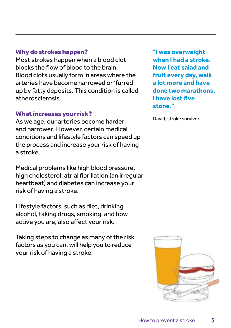## Why do strokes happen?

Most strokes happen when a blood clot blocks the flow of blood to the brain. Blood clots usually form in areas where the arteries have become narrowed or 'furred' up by fatty deposits. This condition is called atherosclerosis.

### What increases your risk?

As we age, our arteries become harder and narrower. However, certain medical conditions and lifestyle factors can speed up the process and increase your risk of having a stroke.

Medical problems like high blood pressure, high cholesterol, atrial fibrillation (an irregular heartbeat) and diabetes can increase your risk of having a stroke.

Lifestyle factors, such as diet, drinking alcohol, taking drugs, smoking, and how active you are, also affect your risk.

Taking steps to change as many of the risk factors as you can, will help you to reduce your risk of having a stroke.

**"I was overweight when I had a stroke. Now I eat salad and fruit every day, walk a lot more and have done two marathons. I have lost five stone."** 

David, stroke survivor

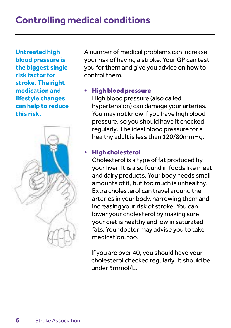**Untreated high blood pressure is the biggest single risk factor for stroke. The right medication and lifestyle changes can help to reduce this risk.**



A number of medical problems can increase your risk of having a stroke. Your GP can test you for them and give you advice on how to control them.

# • High blood pressure

High blood pressure (also called hypertension) can damage your arteries. You may not know if you have high blood pressure, so you should have it checked regularly. The ideal blood pressure for a healthy adult is less than 120/80mmHg.

# • High cholesterol

Cholesterol is a type of fat produced by your liver. It is also found in foods like meat and dairy products. Your body needs small amounts of it, but too much is unhealthy. Extra cholesterol can travel around the arteries in your body, narrowing them and increasing your risk of stroke. You can lower your cholesterol by making sure your diet is healthy and low in saturated fats. Your doctor may advise you to take medication, too.

 If you are over 40, you should have your cholesterol checked regularly. It should be under 5mmol/L.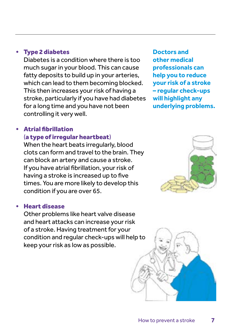## • Type 2 diabetes

Diabetes is a condition where there is too much sugar in your blood. This can cause fatty deposits to build up in your arteries, which can lead to them becoming blocked. This then increases your risk of having a stroke, particularly if you have had diabetes for a long time and you have not been controlling it very well.

# • Atrial fibrillation (a type of irregular heartbeat)

When the heart beats irregularly, blood clots can form and travel to the brain. They can block an artery and cause a stroke. If you have atrial fibrillation, your risk of having a stroke is increased up to five times. You are more likely to develop this condition if you are over 65.

### • Heart disease

Other problems like heart valve disease and heart attacks can increase your risk of a stroke. Having treatment for your condition and regular check-ups will help to keep your risk as low as possible.

**Doctors and other medical professionals can help you to reduce your risk of a stroke – regular check-ups will highlight any underlying problems.**



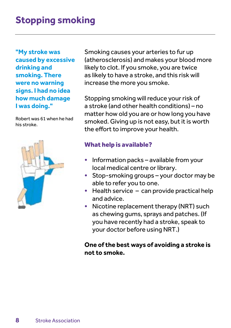# **Stopping smoking**

**"My stroke was caused by excessive drinking and smoking. There were no warning signs. I had no idea how much damage I was doing."** 

Robert was 61 when he had his stroke.



Smoking causes your arteries to fur up (atherosclerosis) and makes your blood more likely to clot. If you smoke, you are twice as likely to have a stroke, and this risk will increase the more you smoke.

Stopping smoking will reduce your risk of a stroke (and other health conditions) – no matter how old you are or how long you have smoked. Giving up is not easy, but it is worth the effort to improve your health.

## What help is available?

- Information packs available from your local medical centre or library.
- Stop-smoking groups your doctor may be able to refer you to one.
- Health service can provide practical help and advice.
- Nicotine replacement therapy (NRT) such as chewing gums, sprays and patches. (If you have recently had a stroke, speak to your doctor before using NRT.)

## **One of the best ways of avoiding a stroke is not to smoke.**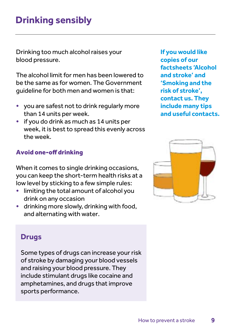# **Drinking sensibly**

Drinking too much alcohol raises your blood pressure.

The alcohol limit for men has been lowered to be the same as for women. The Government guideline for both men and women is that:

- you are safest not to drink regularly more than 14 units per week.
- if you do drink as much as 14 units per week, it is best to spread this evenly across the week.

# Avoid one-off drinking

When it comes to single drinking occasions, you can keep the short-term health risks at a low level by sticking to a few simple rules:

- limiting the total amount of alcohol you drink on any occasion
- drinking more slowly, drinking with food, and alternating with water.

**If you would like copies of our factsheets 'Alcohol and stroke' and 'Smoking and the risk of stroke', contact us. They include many tips and useful contacts.** 



# **Drugs**

Some types of drugs can increase your risk of stroke by damaging your blood vessels and raising your blood pressure. They include stimulant drugs like cocaine and amphetamines, and drugs that improve sports performance.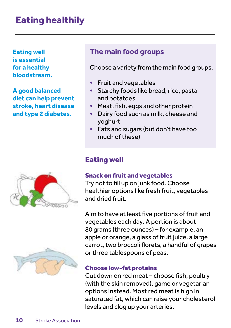# **Eating healthily**

**Eating well is essential for a healthy bloodstream.** 

**A good balanced diet can help prevent stroke, heart disease and type 2 diabetes.** 



# **The main food groups**

Choose a variety from the main food groups.

- Fruit and vegetables
- Starchy foods like bread, rice, pasta and potatoes
- Meat, fish, eggs and other protein
- Dairy food such as milk, cheese and yoghurt
- Fats and sugars (but don't have too much of these)

# Eating well

# Snack on fruit and vegetables

Try not to fill up on junk food. Choose healthier options like fresh fruit, vegetables and dried fruit.

Aim to have at least five portions of fruit and vegetables each day. A portion is about 80 grams (three ounces) – for example, an apple or orange, a glass of fruit juice, a large carrot, two broccoli florets, a handful of grapes or three tablespoons of peas.

# Choose low-fat proteins

Cut down on red meat – choose fish, poultry (with the skin removed), game or vegetarian options instead. Most red meat is high in saturated fat, which can raise your cholesterol levels and clog up your arteries.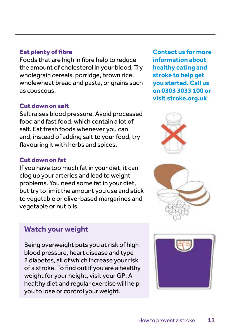# Eat plenty of fibre

Foods that are high in fibre help to reduce the amount of cholesterol in your blood. Try wholegrain cereals, porridge, brown rice, wholewheat bread and pasta, or grains such as couscous.

### Cut down on salt

Salt raises blood pressure. Avoid processed food and fast food, which contain a lot of salt. Eat fresh foods whenever you can and, instead of adding salt to your food, try flavouring it with herbs and spices.

### Cut down on fat

If you have too much fat in your diet, it can clog up your arteries and lead to weight problems. You need some fat in your diet, but try to limit the amount you use and stick to vegetable or olive-based margarines and vegetable or nut oils.

# **Watch your weight**

Being overweight puts you at risk of high blood pressure, heart disease and type 2 diabetes, all of which increase your risk of a stroke. To find out if you are a healthy weight for your height, visit your GP. A healthy diet and regular exercise will help you to lose or control your weight.

**Contact us for more information about healthy eating and stroke to help get you started. Call us on 0303 3033 100 or visit stroke.org.uk**.





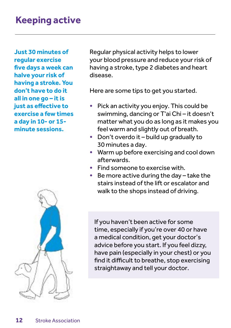# **Keeping active**

**Just 30 minutes of regular exercise five days a week can halve your risk of having a stroke. You don't have to do it all in one go – it is just as effective to exercise a few times a day in 10- or 15 minute sessions.**



Regular physical activity helps to lower your blood pressure and reduce your risk of having a stroke, type 2 diabetes and heart disease.

Here are some tips to get you started.

- Pick an activity you enjoy. This could be swimming, dancing or T'ai Chi – it doesn't matter what you do as long as it makes you feel warm and slightly out of breath.
- Don't overdo it build up gradually to 30 minutes a day.
- Warm up before exercising and cool down afterwards.
- Find someone to exercise with.
- Be more active during the day take the stairs instead of the lift or escalator and walk to the shops instead of driving.

If you haven't been active for some time, especially if you're over 40 or have a medical condition, get your doctor's advice before you start. If you feel dizzy, have pain (especially in your chest) or you find it difficult to breathe, stop exercising straightaway and tell your doctor.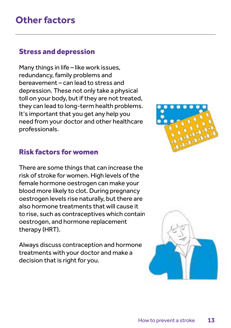# Stress and depression

Many things in life – like work issues, redundancy, family problems and bereavement – can lead to stress and depression. These not only take a physical toll on your body, but if they are not treated, they can lead to long-term health problems. It's important that you get any help you need from your doctor and other healthcare professionals.

# Risk factors for women

There are some things that can increase the risk of stroke for women. High levels of the female hormone oestrogen can make your blood more likely to clot. During pregnancy oestrogen levels rise naturally, but there are also hormone treatments that will cause it to rise, such as contraceptives which contain oestrogen, and hormone replacement therapy (HRT).

Always discuss contraception and hormone treatments with your doctor and make a decision that is right for you.



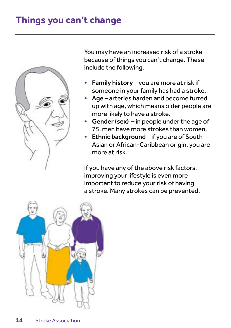# **Things you can't change**



You may have an increased risk of a stroke because of things you can't change. These include the following.

- Family history you are more at risk if someone in your family has had a stroke.
- Age arteries harden and become furred up with age, which means older people are more likely to have a stroke.
- Gender (sex) in people under the age of 75, men have more strokes than women.
- Ethnic background if you are of South Asian or African-Caribbean origin, you are more at risk.

If you have any of the above risk factors, improving your lifestyle is even more important to reduce your risk of having a stroke. Many strokes can be prevented.

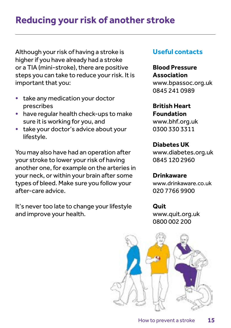# **Reducing your risk of another stroke**

Although your risk of having a stroke is higher if you have already had a stroke or a TIA (mini-stroke), there are positive steps you can take to reduce your risk. It is important that you:

- take any medication your doctor prescribes
- have regular health check-ups to make sure it is working for you, and
- take your doctor's advice about your lifestyle.

You may also have had an operation after your stroke to lower your risk of having another one, for example on the arteries in your neck, or within your brain after some types of bleed. Make sure you follow your after-care advice.

It's never too late to change your lifestyle and improve your health.

# **Useful contacts**

**Blood Pressure Association**  www.bpassoc.org.uk 0845 241 0989

# **British Heart**

**Foundation**  www.bhf.org.uk 0300 330 3311

### **Diabetes UK**

www.diabetes.org.uk 0845 120 2960

## **Drinkaware**

www.drinkaware.co.uk 020 7766 9900

### **Quit**

www.quit.org.uk 0800 002 200